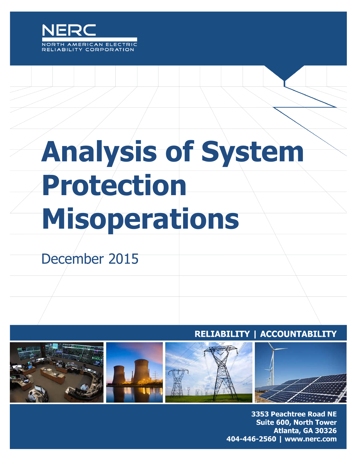

# **Analysis of System Protection Misoperations**

## December 2015

### RELIABILITY | ACCOUNTABILITY



3353 Peachtree Road NE **Suite 600, North Tower** Atlanta, GA 30326 404-446-2560 | www.nerc.com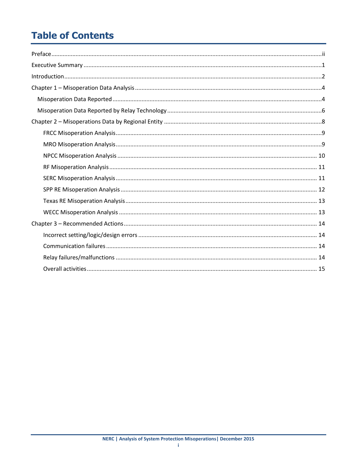## **Table of Contents**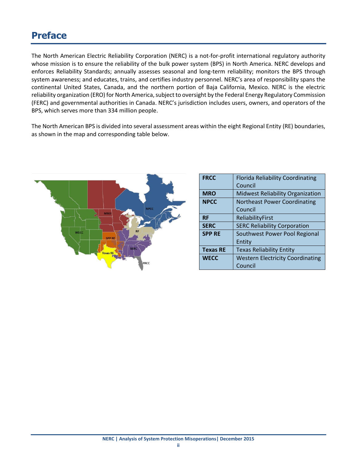## <span id="page-2-0"></span>**Preface**

The North American Electric Reliability Corporation (NERC) is a not-for-profit international regulatory authority whose mission is to ensure the reliability of the bulk power system (BPS) in North America. NERC develops and enforces Reliability Standards; annually assesses seasonal and long‐term reliability; monitors the BPS through system awareness; and educates, trains, and certifies industry personnel. NERC's area of responsibility spans the continental United States, Canada, and the northern portion of Baja California, Mexico. NERC is the electric reliability organization (ERO) for North America, subject to oversight by the Federal Energy Regulatory Commission (FERC) and governmental authorities in Canada. NERC's jurisdiction includes users, owners, and operators of the BPS, which serves more than 334 million people.

The North American BPS is divided into several assessment areas within the eight Regional Entity (RE) boundaries, as shown in the map and corresponding table below.



| <b>FRCC</b>     | <b>Florida Reliability Coordinating</b> |
|-----------------|-----------------------------------------|
|                 | Council                                 |
| <b>MRO</b>      | <b>Midwest Reliability Organization</b> |
| <b>NPCC</b>     | <b>Northeast Power Coordinating</b>     |
|                 | Council                                 |
| <b>RF</b>       | ReliabilityFirst                        |
| <b>SERC</b>     | <b>SERC Reliability Corporation</b>     |
| <b>SPP RE</b>   | Southwest Power Pool Regional           |
|                 | Entity                                  |
| <b>Texas RE</b> | <b>Texas Reliability Entity</b>         |
| <b>WECC</b>     | <b>Western Electricity Coordinating</b> |
|                 | Council                                 |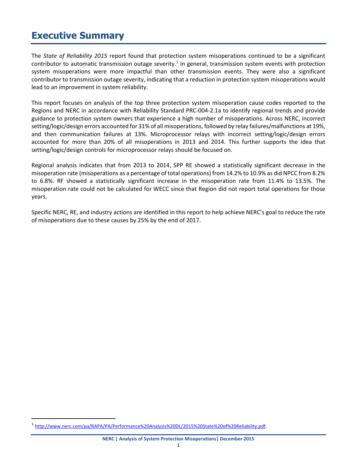## <span id="page-3-0"></span>**Executive Summary**

The *State of Reliability 2015* report found that protection system misoperations continued to be a significant contributor to automatic transmission outage severity.<sup>1</sup> In general, transmission system events with protection system misoperations were more impactful than other transmission events. They were also a significant contributor to transmission outage severity, indicating that a reduction in protection system misoperations would lead to an improvement in system reliability.

This report focuses on analysis of the top three protection system misoperation cause codes reported to the Regions and NERC in accordance with Reliability Standard PRC-004-2.1a to identify regional trends and provide guidance to protection system owners that experience a high number of misoperations. Across NERC, incorrect setting/logic/design errors accounted for 31% of all misoperations, followed by relay failures/malfunctions at 19%, and then communication failures at 13%. Microprocessor relays with incorrect setting/logic/design errors accounted for more than 20% of all misoperations in 2013 and 2014. This further supports the idea that setting/logic/design controls for microprocessor relays should be focused on.

Regional analysis indicates that from 2013 to 2014, SPP RE showed a statistically significant decrease in the misoperation rate (misoperations as a percentage of total operations) from 14.2% to 10.9% as did NPCC from 8.2% to 6.8%. RF showed a statistically significant increase in the misoperation rate from 11.4% to 13.5%. The misoperation rate could not be calculated for WECC since that Region did not report total operations for those years.

Specific NERC, RE, and industry actions are identified in this report to help achieve NERC's goal to reduce the rate of misoperations due to these causes by 25% by the end of 2017.

 $\overline{\phantom{a}}$ 

<sup>1</sup> [http://www.nerc.com/pa/RAPA/PA/Performance%20Analysis%20DL/2015%20State%20of%20Reliability.pdf.](http://www.nerc.com/pa/RAPA/PA/Performance%20Analysis%20DL/2015%20State%20of%20Reliability.pdf)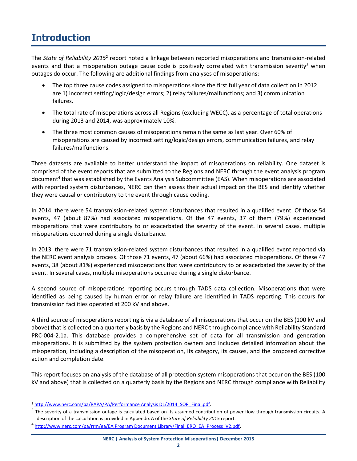## <span id="page-4-0"></span>**Introduction**

The State of Reliability 2015<sup>2</sup> report noted a linkage between reported misoperations and transmission-related events and that a misoperation outage cause code is positively correlated with transmission severity<sup>3</sup> when outages do occur. The following are additional findings from analyses of misoperations:

- The top three cause codes assigned to misoperations since the first full year of data collection in 2012 are 1) incorrect setting/logic/design errors; 2) relay failures/malfunctions; and 3) communication failures.
- The total rate of misoperations across all Regions (excluding WECC), as a percentage of total operations during 2013 and 2014, was approximately 10%.
- The three most common causes of misoperations remain the same as last year. Over 60% of misoperations are caused by incorrect setting/logic/design errors, communication failures, and relay failures/malfunctions.

Three datasets are available to better understand the impact of misoperations on reliability. One dataset is comprised of the event reports that are submitted to the Regions and NERC through the event analysis program document<sup>4</sup> that was established by the Events Analysis Subcommittee (EAS). When misoperations are associated with reported system disturbances, NERC can then assess their actual impact on the BES and identify whether they were causal or contributory to the event through cause coding.

In 2014, there were 54 transmission-related system disturbances that resulted in a qualified event. Of those 54 events, 47 (about 87%) had associated misoperations. Of the 47 events, 37 of them (79%) experienced misoperations that were contributory to or exacerbated the severity of the event. In several cases, multiple misoperations occurred during a single disturbance.

In 2013, there were 71 transmission-related system disturbances that resulted in a qualified event reported via the NERC event analysis process. Of those 71 events, 47 (about 66%) had associated misoperations. Of these 47 events, 38 (about 81%) experienced misoperations that were contributory to or exacerbated the severity of the event. In several cases, multiple misoperations occurred during a single disturbance.

A second source of misoperations reporting occurs through TADS data collection. Misoperations that were identified as being caused by human error or relay failure are identified in TADS reporting. This occurs for transmission facilities operated at 200 kV and above.

A third source of misoperations reporting is via a database of all misoperations that occur on the BES (100 kV and above) that is collected on a quarterly basis by the Regions and NERC through compliance with Reliability Standard PRC-004-2.1a. This database provides a comprehensive set of data for all transmission and generation misoperations. It is submitted by the system protection owners and includes detailed information about the misoperation, including a description of the misoperation, its category, its causes, and the proposed corrective action and completion date.

This report focuses on analysis of the database of all protection system misoperations that occur on the BES (100 kV and above) that is collected on a quarterly basis by the Regions and NERC through compliance with Reliability

 $\overline{a}$ <sup>2</sup> [http://www.nerc.com/pa/RAPA/PA/Performance Analysis DL/2014\\_SOR\\_Final.pdf.](http://www.nerc.com/pa/RAPA/PA/Performance%20Analysis%20DL/2014_SOR_Final.pdf)

 $^3$  The severity of a transmission outage is calculated based on its assumed contribution of power flow through transmission circuits. A description of the calculation is provided in Appendix A of the *State of Reliability 2015* report.

<sup>&</sup>lt;sup>4</sup> [http://www.nerc.com/pa/rrm/ea/EA Program Document Library/Final\\_ERO\\_EA\\_Process\\_V2.pdf](http://www.nerc.com/pa/rrm/ea/EA%20Program%20Document%20Library/Final_ERO_EA_Process_V2.pdf).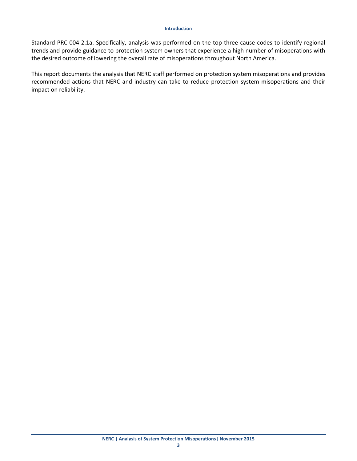Standard PRC-004-2.1a. Specifically, analysis was performed on the top three cause codes to identify regional trends and provide guidance to protection system owners that experience a high number of misoperations with the desired outcome of lowering the overall rate of misoperations throughout North America.

This report documents the analysis that NERC staff performed on protection system misoperations and provides recommended actions that NERC and industry can take to reduce protection system misoperations and their impact on reliability.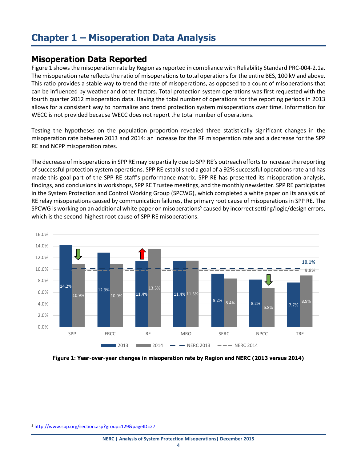## <span id="page-6-0"></span>**Chapter 1 – Misoperation Data Analysis**

#### <span id="page-6-1"></span>**Misoperation Data Reported**

Figure 1 shows the misoperation rate by Region as reported in compliance with Reliability Standard PRC-004-2.1a. The misoperation rate reflects the ratio of misoperations to total operations for the entire BES, 100 kV and above. This ratio provides a stable way to trend the rate of misoperations, as opposed to a count of misoperations that can be influenced by weather and other factors. Total protection system operations was first requested with the fourth quarter 2012 misoperation data. Having the total number of operations for the reporting periods in 2013 allows for a consistent way to normalize and trend protection system misoperations over time. Information for WECC is not provided because WECC does not report the total number of operations.

Testing the hypotheses on the population proportion revealed three statistically significant changes in the misoperation rate between 2013 and 2014: an increase for the RF misoperation rate and a decrease for the SPP RE and NCPP misoperation rates.

The decrease of misoperations in SPP RE may be partially due to SPP RE's outreach efforts to increase the reporting of successful protection system operations. SPP RE established a goal of a 92% successful operations rate and has made this goal part of the SPP RE staff's performance matrix. SPP RE has presented its misoperation analysis, findings, and conclusions in workshops, SPP RE Trustee meetings, and the monthly newsletter. SPP RE participates in the System Protection and Control Working Group (SPCWG), which completed a white paper on its analysis of RE relay misoperations caused by communication failures, the primary root cause of misoperations in SPP RE. The SPCWG is working on an additional white paper on misoperations<sup>5</sup> caused by incorrect setting/logic/design errors, which is the second-highest root cause of SPP RE misoperations.



**Figure 1: Year-over-year changes in misoperation rate by Region and NERC (2013 versus 2014)**

 $\overline{a}$ 

<sup>5</sup> <http://www.spp.org/section.asp?group=129&pageID=27>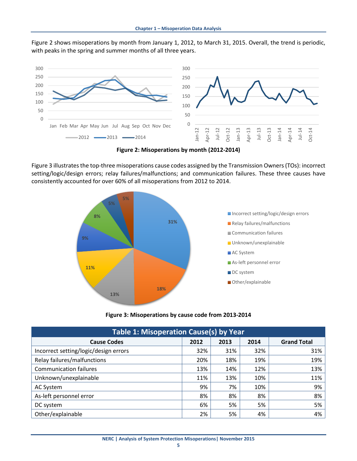Figure 2 shows misoperations by month from January 1, 2012, to March 31, 2015. Overall, the trend is periodic, with peaks in the spring and summer months of all three years.



**Figure 2: Misoperations by month (2012-2014)**

Figure 3 illustrates the top-three misoperations cause codes assigned by the Transmission Owners (TOs): incorrect setting/logic/design errors; relay failures/malfunctions; and communication failures. These three causes have consistently accounted for over 60% of all misoperations from 2012 to 2014.



**Figure 3: Misoperations by cause code from 2013-2014**

| <b>Table 1: Misoperation Cause(s) by Year</b> |      |      |      |                    |  |  |
|-----------------------------------------------|------|------|------|--------------------|--|--|
| <b>Cause Codes</b>                            | 2012 | 2013 | 2014 | <b>Grand Total</b> |  |  |
| Incorrect setting/logic/design errors         | 32%  | 31%  | 32%  | 31%                |  |  |
| Relay failures/malfunctions                   | 20%  | 18%  | 19%  | 19%                |  |  |
| <b>Communication failures</b>                 | 13%  | 14%  | 12%  | 13%                |  |  |
| Unknown/unexplainable                         | 11%  | 13%  | 10%  | 11%                |  |  |
| AC System                                     | 9%   | 7%   | 10%  | 9%                 |  |  |
| As-left personnel error                       | 8%   | 8%   | 8%   | 8%                 |  |  |
| DC system                                     | 6%   | 5%   | 5%   | 5%                 |  |  |
| Other/explainable                             | 2%   | 5%   | 4%   | 4%                 |  |  |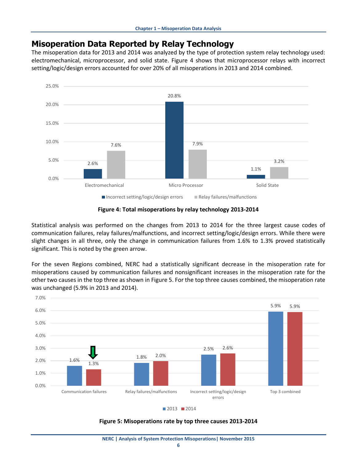#### <span id="page-8-0"></span>**Misoperation Data Reported by Relay Technology**

The misoperation data for 2013 and 2014 was analyzed by the type of protection system relay technology used: electromechanical, microprocessor, and solid state. Figure 4 shows that microprocessor relays with incorrect setting/logic/design errors accounted for over 20% of all misoperations in 2013 and 2014 combined.



**Figure 4: Total misoperations by relay technology 2013-2014** 

Statistical analysis was performed on the changes from 2013 to 2014 for the three largest cause codes of communication failures, relay failures/malfunctions, and incorrect setting/logic/design errors. While there were slight changes in all three, only the change in communication failures from 1.6% to 1.3% proved statistically significant. This is noted by the green arrow.

For the seven Regions combined, NERC had a statistically significant decrease in the misoperation rate for misoperations caused by communication failures and nonsignificant increases in the misoperation rate for the other two causes in the top three as shown in Figure 5. For the top three causes combined, the misoperation rate was unchanged (5.9% in 2013 and 2014).



**Figure 5: Misoperations rate by top three causes 2013-2014**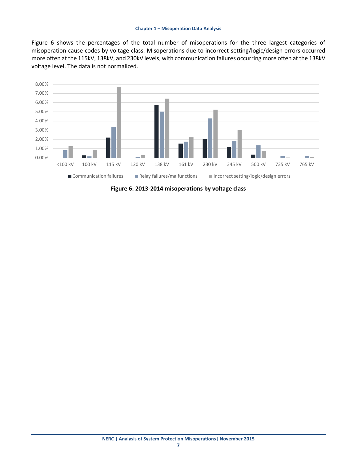Figure 6 shows the percentages of the total number of misoperations for the three largest categories of misoperation cause codes by voltage class. Misoperations due to incorrect setting/logic/design errors occurred more often at the 115kV, 138kV, and 230kV levels, with communication failures occurring more often at the 138kV voltage level. The data is not normalized.



**Figure 6: 2013-2014 misoperations by voltage class**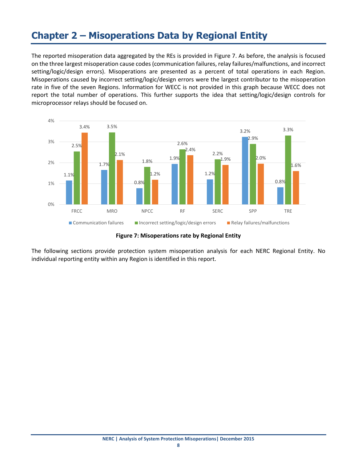## <span id="page-10-0"></span>**Chapter 2 – Misoperations Data by Regional Entity**

The reported misoperation data aggregated by the REs is provided in Figure 7. As before, the analysis is focused on the three largest misoperation cause codes (communication failures, relay failures/malfunctions, and incorrect setting/logic/design errors). Misoperations are presented as a percent of total operations in each Region. Misoperations caused by incorrect setting/logic/design errors were the largest contributor to the misoperation rate in five of the seven Regions. Information for WECC is not provided in this graph because WECC does not report the total number of operations. This further supports the idea that setting/logic/design controls for microprocessor relays should be focused on.



**Figure 7: Misoperations rate by Regional Entity** 

<span id="page-10-1"></span>The following sections provide protection system misoperation analysis for each NERC Regional Entity. No individual reporting entity within any Region is identified in this report.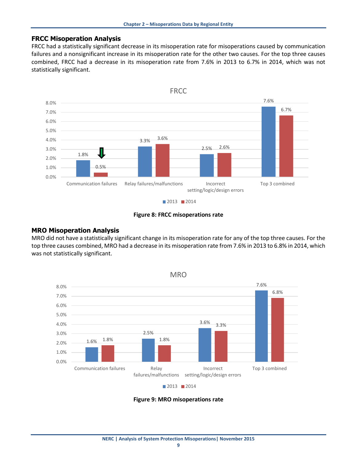#### **FRCC Misoperation Analysis**

FRCC had a statistically significant decrease in its misoperation rate for misoperations caused by communication failures and a nonsignificant increase in its misoperation rate for the other two causes. For the top three causes combined, FRCC had a decrease in its misoperation rate from 7.6% in 2013 to 6.7% in 2014, which was not statistically significant.



**Figure 8: FRCC misoperations rate**

#### <span id="page-11-0"></span>**MRO Misoperation Analysis**

MRO did not have a statistically significant change in its misoperation rate for any of the top three causes. For the top three causes combined, MRO had a decrease in its misoperation rate from 7.6% in 2013 to 6.8% in 2014, which was not statistically significant.



**Figure 9: MRO misoperations rate**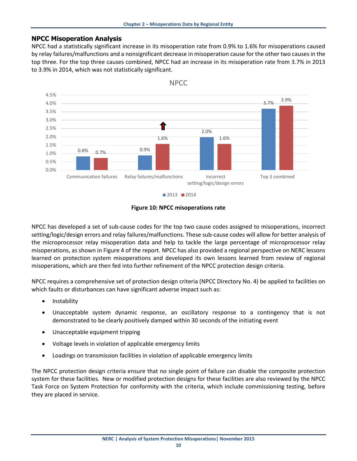#### <span id="page-12-0"></span>**NPCC Misoperation Analysis**

NPCC had a statistically significant increase in its misoperation rate from 0.9% to 1.6% for misoperations caused by relay failures/malfunctions and a nonsignificant decrease in misoperation cause for the other two causes in the top three. For the top three causes combined, NPCC had an increase in its misoperation rate from 3.7% in 2013 to 3.9% in 2014, which was not statistically significant.



NPCC

**Figure 10: NPCC misoperations rate**

NPCC has developed a set of sub-cause codes for the top two cause codes assigned to misoperations, incorrect setting/logic/design errors and relay failures/malfunctions. These sub-cause codes will allow for better analysis of the microprocessor relay misoperation data and help to tackle the large percentage of microprocessor relay misoperations, as shown in Figure 4 of the report. NPCC has also provided a regional perspective on NERC lessons learned on protection system misoperations and developed its own lessons learned from review of regional misoperations, which are then fed into further refinement of the NPCC protection design criteria.

NPCC requires a comprehensive set of protection design criteria (NPCC Directory No. 4) be applied to facilities on which faults or disturbances can have significant adverse impact such as:

- Instability
- Unacceptable system dynamic response, an oscillatory response to a contingency that is not demonstrated to be clearly positively damped within 30 seconds of the initiating event
- Unacceptable equipment tripping
- Voltage levels in violation of applicable emergency limits
- Loadings on transmission facilities in violation of applicable emergency limits

The NPCC protection design criteria ensure that no single point of failure can disable the composite protection system for these facilities. New or modified protection designs for these facilities are also reviewed by the NPCC Task Force on System Protection for conformity with the criteria, which include commissioning testing, before they are placed in service.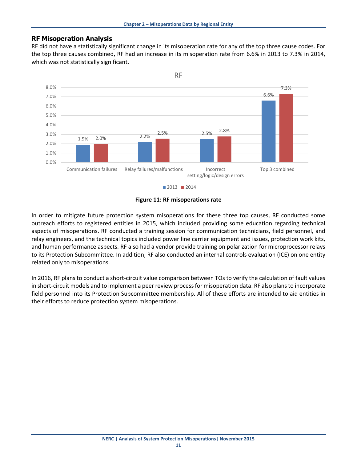#### <span id="page-13-0"></span>**RF Misoperation Analysis**

RF did not have a statistically significant change in its misoperation rate for any of the top three cause codes. For the top three causes combined, RF had an increase in its misoperation rate from 6.6% in 2013 to 7.3% in 2014, which was not statistically significant.



**Figure 11: RF misoperations rate**

<span id="page-13-1"></span>In order to mitigate future protection system misoperations for these three top causes, RF conducted some outreach efforts to registered entities in 2015, which included providing some education regarding technical aspects of misoperations. RF conducted a training session for communication technicians, field personnel, and relay engineers, and the technical topics included power line carrier equipment and issues, protection work kits, and human performance aspects. RF also had a vendor provide training on polarization for microprocessor relays to its Protection Subcommittee. In addition, RF also conducted an internal controls evaluation (ICE) on one entity related only to misoperations.

In 2016, RF plans to conduct a short-circuit value comparison between TOs to verify the calculation of fault values in short-circuit models and to implement a peer review process for misoperation data. RF also plans to incorporate field personnel into its Protection Subcommittee membership. All of these efforts are intended to aid entities in their efforts to reduce protection system misoperations.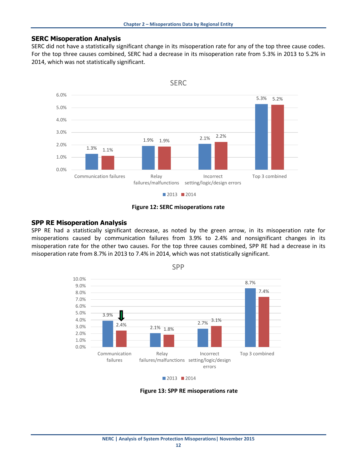#### **SERC Misoperation Analysis**

SERC did not have a statistically significant change in its misoperation rate for any of the top three cause codes. For the top three causes combined, SERC had a decrease in its misoperation rate from 5.3% in 2013 to 5.2% in 2014, which was not statistically significant.





#### <span id="page-14-0"></span>**SPP RE Misoperation Analysis**

SPP RE had a statistically significant decrease, as noted by the green arrow, in its misoperation rate for misoperations caused by communication failures from 3.9% to 2.4% and nonsignificant changes in its misoperation rate for the other two causes. For the top three causes combined, SPP RE had a decrease in its misoperation rate from 8.7% in 2013 to 7.4% in 2014, which was not statistically significant.



SPP

**Figure 13: SPP RE misoperations rate**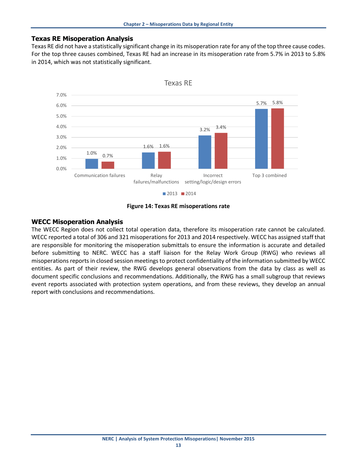#### <span id="page-15-0"></span>**Texas RE Misoperation Analysis**

Texas RE did not have a statistically significant change in its misoperation rate for any of the top three cause codes. For the top three causes combined, Texas RE had an increase in its misoperation rate from 5.7% in 2013 to 5.8% in 2014, which was not statistically significant.



#### **Figure 14: Texas RE misoperations rate**

#### <span id="page-15-1"></span>**WECC Misoperation Analysis**

The WECC Region does not collect total operation data, therefore its misoperation rate cannot be calculated. WECC reported a total of 306 and 321 misoperations for 2013 and 2014 respectively. WECC has assigned staff that are responsible for monitoring the misoperation submittals to ensure the information is accurate and detailed before submitting to NERC. WECC has a staff liaison for the Relay Work Group (RWG) who reviews all misoperations reports in closed session meetings to protect confidentiality of the information submitted by WECC entities. As part of their review, the RWG develops general observations from the data by class as well as document specific conclusions and recommendations. Additionally, the RWG has a small subgroup that reviews event reports associated with protection system operations, and from these reviews, they develop an annual report with conclusions and recommendations.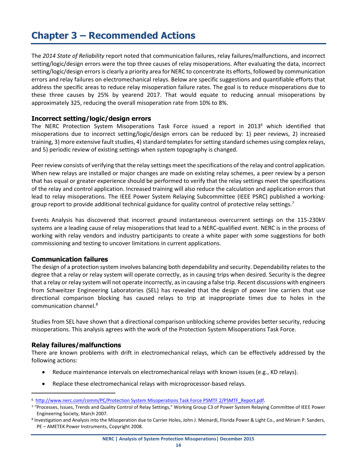## <span id="page-16-0"></span>**Chapter 3 – Recommended Actions**

The *2014 State of Reliability* report noted that communication failures, relay failures/malfunctions, and incorrect setting/logic/design errors were the top three causes of relay misoperations. After evaluating the data, incorrect setting/logic/design errors is clearly a priority area for NERC to concentrate its efforts, followed by communication errors and relay failures on electromechanical relays. Below are specific suggestions and quantifiable efforts that address the specific areas to reduce relay misoperation failure rates. The goal is to reduce misoperations due to these three causes by 25% by yearend 2017. That would equate to reducing annual misoperations by approximately 325, reducing the overall misoperation rate from 10% to 8%.

#### <span id="page-16-1"></span>**Incorrect setting/logic/design errors**

The NERC Protection System Misoperations Task Force issued a report in 2013<sup>6</sup> which identified that misoperations due to incorrect setting/logic/design errors can be reduced by: 1) peer reviews, 2) increased training, 3) more extensive fault studies, 4) standard templates for setting standard schemes using complex relays, and 5) periodic review of existing settings when system topography is changed.

Peer review consists of verifying that the relay settings meet the specifications of the relay and control application. When new relays are installed or major changes are made on existing relay schemes, a peer review by a person that has equal or greater experience should be performed to verify that the relay settings meet the specifications of the relay and control application. Increased training will also reduce the calculation and application errors that lead to relay misoperations. The IEEE Power System Relaying Subcommittee (IEEE PSRC) published a workinggroup report to provide additional technical guidance for quality control of protective relay settings.<sup>7</sup>

Events Analysis has discovered that incorrect ground instantaneous overcurrent settings on the 115-230kV systems are a leading cause of relay misoperations that lead to a NERC-qualified event. NERC is in the process of working with relay vendors and industry participants to create a white paper with some suggestions for both commissioning and testing to uncover limitations in current applications.

#### <span id="page-16-2"></span>**Communication failures**

The design of a protection system involves balancing both dependability and security. Dependability relates to the degree that a relay or relay system will operate correctly, as in causing trips when desired. Security is the degree that a relay or relay system will not operate incorrectly, as in causing a false trip. Recent discussions with engineers from Schweitzer Engineering Laboratories (SEL) has revealed that the design of power line carriers that use directional comparison blocking has caused relays to trip at inappropriate times due to holes in the communication channel. 8

Studies from SEL have shown that a directional comparison unblocking scheme provides better security, reducing misoperations. This analysis agrees with the work of the Protection System Misoperations Task Force.

#### <span id="page-16-3"></span>**Relay failures/malfunctions**

l

There are known problems with drift in electromechanical relays, which can be effectively addressed by the following actions:

- Reduce maintenance intervals on electromechanical relays with known issues (e.g., KD relays).
- Replace these electromechanical relays with microprocessor-based relays.

<sup>&</sup>lt;sup>6</sup> [http://www.nerc.com/comm/PC/Protection System Misoperations Task Force PSMTF 2/PSMTF\\_Report.pdf](http://www.nerc.com/comm/PC/Protection%20System%20Misoperations%20Task%20Force%20PSMTF%202/PSMTF_Report.pdf).

<sup>7</sup> "Processes, Issues, Trends and Quality Control of Relay Settings," Working Group C3 of Power System Relaying Committee of IEEE Power Engineering Society, March 2007.

<sup>&</sup>lt;sup>8</sup> Investigation and Analysis into the Misoperation due to Carrier Holes, John J. Meinardi, Florida Power & Light Co., and Miriam P. Sanders, PE – AMETEK Power Instruments, Copyright 2008.